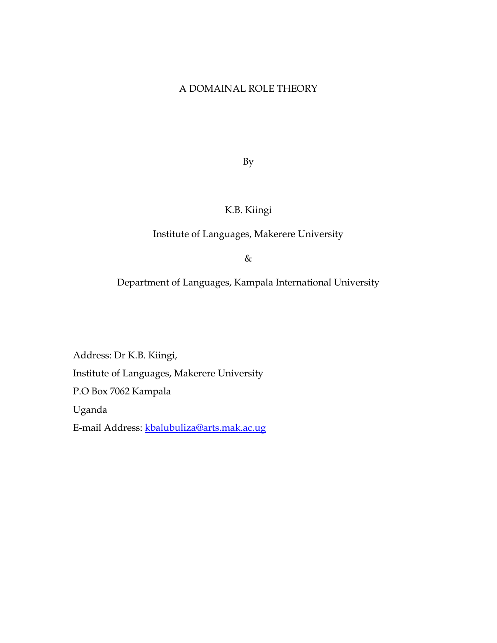### A DOMAINAL ROLE THEORY

By

# K.B. Kiingi

### Institute of Languages, Makerere University

&

Department of Languages, Kampala International University

Address: Dr K.B. Kiingi, Institute of Languages, Makerere University P.O Box 7062 Kampala Uganda E-mail Address: [kbalubuliza@arts.mak.ac.ug](mailto:kbalubuliza@arts.mak.ac.ug)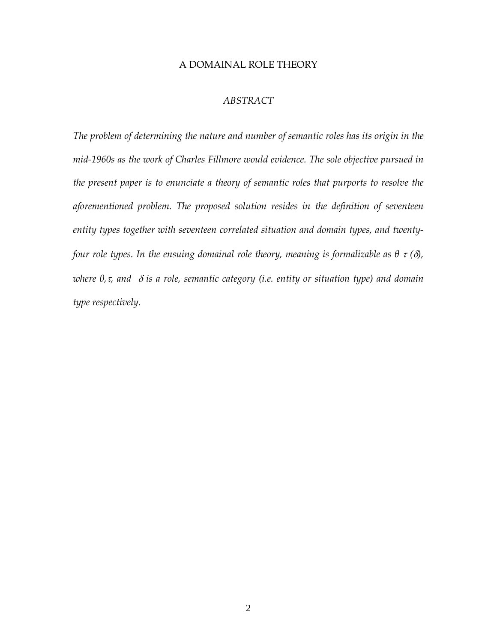#### A DOMAINAL ROLE THEORY

#### *ABSTRACT*

*The problem of determining the nature and number of semantic roles has its origin in the mid-1960s as the work of Charles Fillmore would evidence. The sole objective pursued in the present paper is to enunciate a theory of semantic roles that purports to resolve the aforementioned problem. The proposed solution resides in the definition of seventeen entity types together with seventeen correlated situation and domain types, and twentyfour role types. In the ensuing domainal role theory, meaning is formalizable as*  $\theta \tau(\delta)$ *, where θ,*τ*, and* δ *is a role, semantic category (i.e. entity or situation type) and domain type respectively.*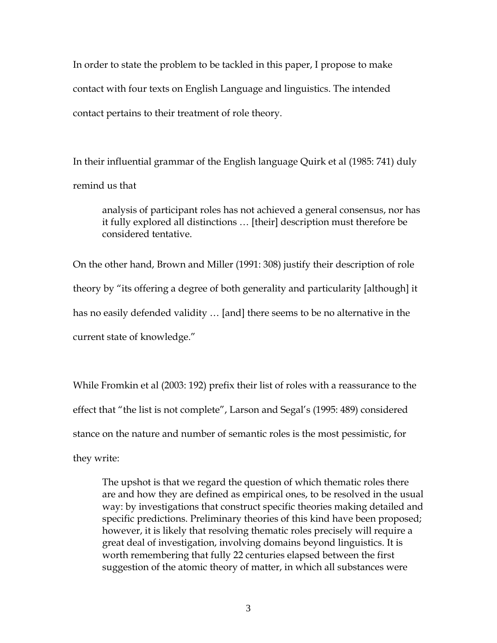In order to state the problem to be tackled in this paper, I propose to make contact with four texts on English Language and linguistics. The intended contact pertains to their treatment of role theory.

In their influential grammar of the English language Quirk et al (1985: 741) duly remind us that

analysis of participant roles has not achieved a general consensus, nor has it fully explored all distinctions … [their] description must therefore be considered tentative.

On the other hand, Brown and Miller (1991: 308) justify their description of role theory by "its offering a degree of both generality and particularity [although] it has no easily defended validity … [and] there seems to be no alternative in the current state of knowledge."

While Fromkin et al (2003: 192) prefix their list of roles with a reassurance to the effect that "the list is not complete", Larson and Segal's (1995: 489) considered stance on the nature and number of semantic roles is the most pessimistic, for they write:

The upshot is that we regard the question of which thematic roles there are and how they are defined as empirical ones, to be resolved in the usual way: by investigations that construct specific theories making detailed and specific predictions. Preliminary theories of this kind have been proposed; however, it is likely that resolving thematic roles precisely will require a great deal of investigation, involving domains beyond linguistics. It is worth remembering that fully 22 centuries elapsed between the first suggestion of the atomic theory of matter, in which all substances were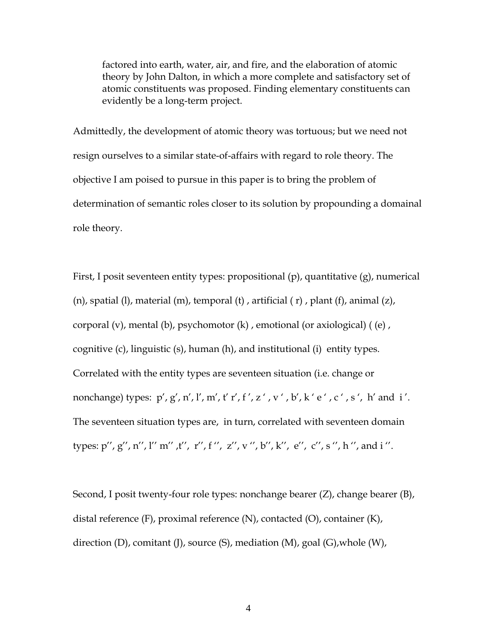factored into earth, water, air, and fire, and the elaboration of atomic theory by John Dalton, in which a more complete and satisfactory set of atomic constituents was proposed. Finding elementary constituents can evidently be a long-term project.

Admittedly, the development of atomic theory was tortuous; but we need not resign ourselves to a similar state-of-affairs with regard to role theory. The objective I am poised to pursue in this paper is to bring the problem of determination of semantic roles closer to its solution by propounding a domainal role theory.

First, I posit seventeen entity types: propositional (p), quantitative (g), numerical  $(n)$ , spatial  $(l)$ , material  $(m)$ , temporal  $(t)$ , artificial  $(r)$ , plant  $(f)$ , animal  $(z)$ , corporal (v), mental (b), psychomotor (k) , emotional (or axiological) ( (e) , cognitive (c), linguistic (s), human (h), and institutional (i) entity types. Correlated with the entity types are seventeen situation (i.e. change or nonchange) types:  $p', g', n', l', m', t' r', f', z', v', b', k' e', c', s', h'$  and i'. The seventeen situation types are, in turn, correlated with seventeen domain types: p'', g'', n'', l'' m'' ,t'', r'', f '', z'', v '', b'', k'', e'', c'', s '', h '', and i ''.

Second, I posit twenty-four role types: nonchange bearer (Z), change bearer (B), distal reference (F), proximal reference (N), contacted (O), container (K), direction (D), comitant (J), source (S), mediation (M), goal (G),whole (W),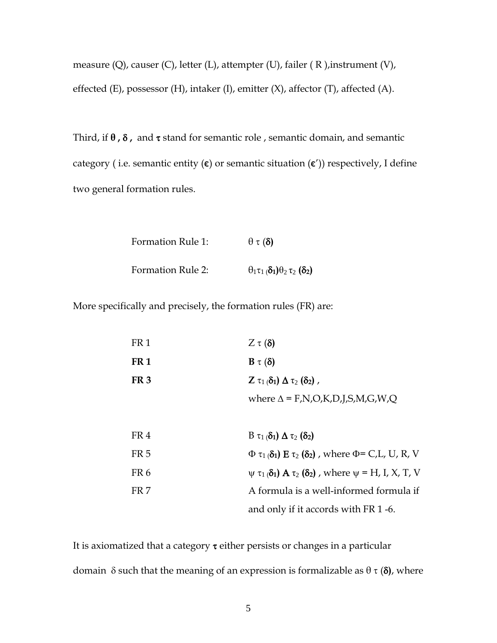measure (Q), causer (C), letter (L), attempter (U), failer ( R ),instrument (V), effected (E), possessor (H), intaker (I), emitter  $(X)$ , affector  $(T)$ , affected  $(A)$ .

Third, if **θ ,** δ **,** and τ stand for semantic role , semantic domain, and semantic category (i.e. semantic entity  $(\epsilon)$  or semantic situation  $(\epsilon')$ ) respectively, I define two general formation rules.

> Formation Rule 1: θ τ (δ**)** Formation Rule 2:  $\theta_1 \tau_1 (\delta_1) \theta_2 \tau_2 (\delta_2)$

More specifically and precisely, the formation rules (FR) are:

| FR <sub>1</sub> | $Z \tau (\delta)$                                                                  |
|-----------------|------------------------------------------------------------------------------------|
| FR <sub>1</sub> | $B \tau (\delta)$                                                                  |
| FR <sub>3</sub> | Z $\tau_1(\delta_1)$ $\Delta \tau_2(\delta_2)$ ,                                   |
|                 | where $\Delta$ = F,N,O,K,D,J,S,M,G,W,Q                                             |
|                 |                                                                                    |
| FR4             | $B \tau_1(\delta_1) \Delta \tau_2(\delta_2)$                                       |
| FR <sub>5</sub> | $\Phi \tau_1(\delta_1)$ E $\tau_2(\delta_2)$ , where $\Phi$ = C,L, U, R, V         |
| FR <sub>6</sub> | $\psi \tau_1(\delta_1)$ <b>A</b> $\tau_2(\delta_2)$ , where $\psi$ = H, I, X, T, V |
| FR 7            | A formula is a well-informed formula if                                            |
|                 | and only if it accords with FR 1-6.                                                |

It is axiomatized that a category  $\tau$  either persists or changes in a particular domain δ such that the meaning of an expression is formalizable as θ τ (δ**)**, where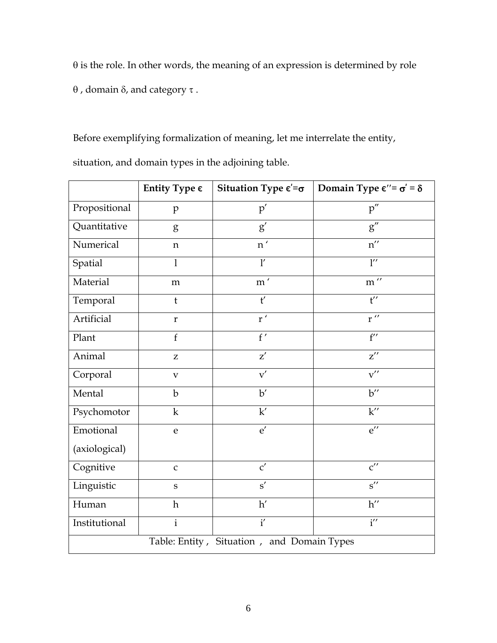$\theta$  is the role. In other words, the meaning of an expression is determined by role

θ , domain δ, and category τ .

Before exemplifying formalization of meaning, let me interrelate the entity,

**Entity Type**  $\epsilon$  | **Situation Type**  $\epsilon' = \sigma$  | **Domain Type**  $\epsilon'' = \sigma' = \delta$ Propositional p p' p' p' Quantitative  $g'$  g' g' Numerical n n n' n' n'' Spatial l l' l'' Material m m m' m' m'' Temporal t t' t' Artificial  $r'$  r  $r''$ Plant  $f'$  f f' f' Animal  $\begin{array}{ccc} \mathbf{z} & \mathbf{z}' & \mathbf{z} \end{array}$  $Corporal$  v  $\overline{v}$  v  $\overline{v}$  v  $\overline{v}$  v  $\overline{v}$  v  $\overline{v}$  v  $\overline{v}$  v  $\overline{v}$  v  $\overline{v}$  v  $\overline{v}$  v  $\overline{v}$  v  $\overline{v}$  v  $\overline{v}$  v  $\overline{v}$  v  $\overline{v}$  v  $\overline{v}$  v  $\overline{v}$  v  $\overline{v}$  v  $\overline{v}$  v  $\overline{v}$  v  $\overline$ Mental  $\vert$  b  $\vert$  b'  $\vert$  b' Psychomotor k k' k' Emotional (axiological) e  $e'$  e'  $e''$ Cognitive  $c'$   $c''$ Linguistic s s' s' s'' Human h  $h'$  h'  $h''$ Institutional i i i' i' i' Table: Entity , Situation , and Domain Types

situation, and domain types in the adjoining table.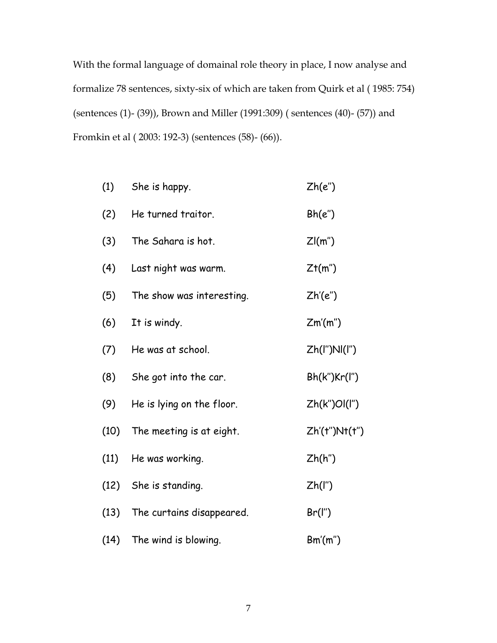With the formal language of domainal role theory in place, I now analyse and formalize 78 sentences, sixty-six of which are taken from Quirk et al ( 1985: 754) (sentences (1)- (39)), Brown and Miller (1991:309) ( sentences (40)- (57)) and Fromkin et al ( 2003: 192-3) (sentences (58)- (66)).

| (1)  | She is happy.             | Zh(e'')        |
|------|---------------------------|----------------|
| (2)  | He turned traitor.        | Bh(e'')        |
| (3)  | The Sahara is hot.        | Z(m")          |
| (4)  | Last night was warm.      | Zt(m")         |
| (5)  | The show was interesting. | Zh'(e'')       |
| (6)  | It is windy.              | Zm'(m'')       |
| (7)  | He was at school.         | Zh(I")NI(I")   |
| (8)  | She got into the car.     | Bh(k'')Kr(l'') |
| (9)  | He is lying on the floor. | Zh(k")Ol(l")   |
| (10) | The meeting is at eight.  | Zh'(t")Nt(t")  |
| (11) | He was working.           | Zh(h'')        |
| (12) | She is standing.          | $Zh($ l")      |
| (13) | The curtains disappeared. | Br(I'')        |
| (14) | The wind is blowing.      | Bm'(m'')       |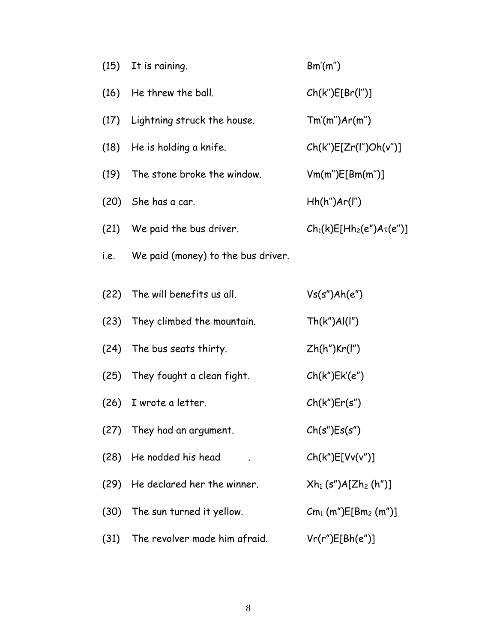| (15) | It is raining.                     | Bm'(m'')                                  |
|------|------------------------------------|-------------------------------------------|
|      | (16) He threw the ball.            | Ch(k <sup>n</sup> )E[Br(l <sup>n</sup> )] |
| (17) | Lightning struck the house.        | Tm'(m'')Ar(m'')                           |
| (18) | He is holding a knife.             | Ch(k")E[Zr(l")Oh(v")]                     |
| (19) | The stone broke the window.        | Vm(m")E[Bm(m")]                           |
|      | $(20)$ She has a car.              | Hh(h <sup>n</sup> )Ar(I <sup>n</sup> )    |
|      | (21) We paid the bus driver.       | $Ch_1(k)E[Hh_2(e'')A\tau(e'')]$           |
| i.e. | We paid (money) to the bus driver. |                                           |
| (22) | The will benefits us all.          | Vs(s")Ah(e")                              |
| (23) | They climbed the mountain.         | Th(k")Al(l")                              |
|      | (24) The bus seats thirty.         | Zh(h")Kr(I")                              |
| (25) | They fought a clean fight.         | Ch(k")Ek'(e")                             |
| (26) | I wrote a letter.                  | Ch(k <sup>''</sup> )Er(s <sup>''</sup> )  |
|      | (27) They had an argument.         | Ch(s")Es(s")                              |
| (28) | He nodded his head                 | Ch(k")E[Vv(v'')]                          |
| (29) | He declared her the winner.        | $Xh_1(s'')A[Zh_2(h'')]$                   |
| (30) | The sun turned it yellow.          | $Cm_1$ (m") $E[Bm_2$ (m")]                |
| (31) | The revolver made him afraid.      | Vr(r")E[Bh(e")]                           |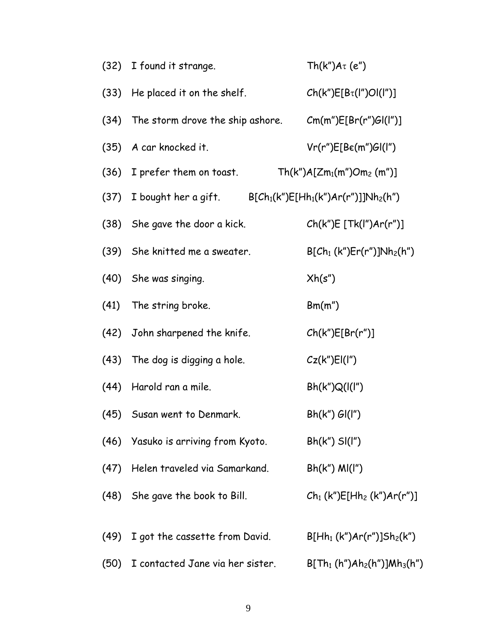|      | (32) I found it strange.              | $Th(k")$ A $\tau$ (e")                           |
|------|---------------------------------------|--------------------------------------------------|
|      | (33) He placed it on the shelf.       | $Ch(k")E[B_{\tau}(l'')Ol(l'')]$                  |
|      | (34) The storm drove the ship ashore. | Cm(m")E[Br(r")GI(I")]                            |
|      | (35) A car knocked it.                | Vr(r")E[Be(m")Gl(l")                             |
|      | (36) I prefer them on toast.          | $Th(k")A[Zm_1(m")Om_2(m")$                       |
|      | (37) I bought her a gift.             | $B[Ch_1(k'')E[Hh_1(k'')Ar(r'')]Nh_2(h'')$        |
|      | (38) She gave the door a kick.        | Ch(k")E[Tk(l")Ar(r")]                            |
|      | (39) She knitted me a sweater.        | $B[Ch_1(kn)Er(rn)]Nh_2(hn)$                      |
|      | (40) She was singing.                 | Xh(s'')                                          |
|      | (41) The string broke.                | Bm(m")                                           |
|      | (42) John sharpened the knife.        | Ch(k")E[Br(r")]                                  |
|      | (43) The dog is digging a hole.       | Cz(k <sup>''</sup> )El(I <sup>"</sup> )          |
|      | (44) Harold ran a mile.               | Bh(k'')Q( (l'')                                  |
|      | (45) Susan went to Denmark.           | $Bh(k")$ $Gl(I")$                                |
|      | (46) Yasuko is arriving from Kyoto.   | $Bh(k'')$ SI(I")                                 |
| (47) | Helen traveled via Samarkand.         | $Bh(k'')$ $M([l'')$                              |
|      | (48) She gave the book to Bill.       | $Ch_1$ (k") $E$ [Hh <sub>2</sub> (k") $Ar(r")$ ] |
|      |                                       |                                                  |
| (49) | I got the cassette from David.        | $B[Hh_1(k'')Ar(r'')]Sh_2(k'')$                   |
| (50) | I contacted Jane via her sister.      | $B[Th_1(h'')Ah_2(h'')]Mh_3(h'')$                 |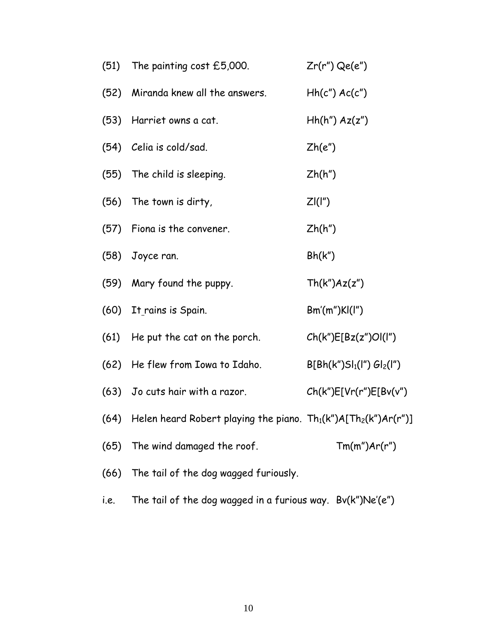|      | (51) The painting cost £5,000.                                            | $Zr(r")$ Qe(e")              |
|------|---------------------------------------------------------------------------|------------------------------|
|      | (52) Miranda knew all the answers.                                        | $Hh(c'')$ $Ac(c'')$          |
|      | (53) Harriet owns a cat.                                                  | $Hh(h'')$ $Az(z'')$          |
|      | (54) Celia is cold/sad.                                                   | Zh(e'')                      |
|      | (55) The child is sleeping.                                               | $\mathsf{Zh}(\mathsf{h}'')$  |
|      | (56) The town is dirty,                                                   | ZI(I'')                      |
|      | (57) Fiona is the convener.                                               | Zh(h'')                      |
|      | (58) Joyce ran.                                                           | Bh(k")                       |
|      | (59) Mary found the puppy.                                                | Th(k")Az(z")                 |
|      | (60) It rains is Spain.                                                   | Bm'(m'')Kl(l'')              |
|      | (61) He put the cat on the porch.                                         | Ch(k")E[Bz(z")Ol(l")         |
|      | (62) He flew from Iowa to Idaho.                                          | $B[ Bh(k")Sl_1(l") Gl_2(l")$ |
|      | (63) Jo cuts hair with a razor.                                           | Ch(k")E[Vr(r")E[Bv(v")       |
|      | (64) Helen heard Robert playing the piano. $Th_1(k'')A[Th_2(k'')Ar(r'')]$ |                              |
| (65) | The wind damaged the roof.                                                | Tm(m'')Ar(r'')               |
| (66) | The tail of the dog wagged furiously.                                     |                              |
| i.e. | The tail of the dog wagged in a furious way. Bv(k")Ne'(e")                |                              |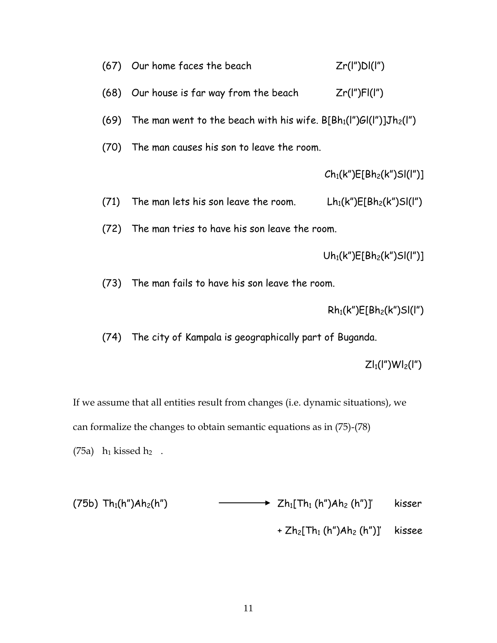|      | (67) Our home faces the beach                                            | Zr(I'')DI(I'')                                    |
|------|--------------------------------------------------------------------------|---------------------------------------------------|
| (68) | Our house is far way from the beach                                      | Zr(I'')Fl(I'')                                    |
| (69) | The man went to the beach with his wife. $B[ Bh_1(I'')GI(I'')]Jh_2(I'')$ |                                                   |
| (70) | The man causes his son to leave the room.                                |                                                   |
|      |                                                                          | $Ch_1(k'')E[Bh_2(k'')Sl(l'')]$                    |
| (71) | The man lets his son leave the room.                                     | Lh <sub>1</sub> (k")E[Bh <sub>2</sub> (k")Sl(l")  |
| (72) | The man tries to have his son leave the room.                            |                                                   |
|      |                                                                          | Uh <sub>1</sub> (k")E[Bh <sub>2</sub> (k")Sl(l")] |
|      | (73) The man fails to have his son leave the room.                       |                                                   |
|      |                                                                          | $Rh_1(k'')E[Bh_2(k'')Sl(l'')$                     |
| (74) | The city of Kampala is geographically part of Buganda.                   |                                                   |
|      |                                                                          | $ZI_1(I'')WI_2(I'')$                              |
|      |                                                                          |                                                   |

If we assume that all entities result from changes (i.e. dynamic situations), we

can formalize the changes to obtain semantic equations as in (75)-(78)

(75a)  $h_1$  kissed  $h_2$ .

| (75b) Th <sub>1</sub> (h") <i>Ah<sub>2</sub>(h</i> ") | $\longrightarrow$ $\longrightarrow$ $Zh_1$ [Th <sub>1</sub> (h")Ah <sub>2</sub> (h")]' | kisser |
|-------------------------------------------------------|----------------------------------------------------------------------------------------|--------|
|                                                       | $+ Zh_2$ [Th <sub>1</sub> (h")Ah <sub>2</sub> (h")]' kissee                            |        |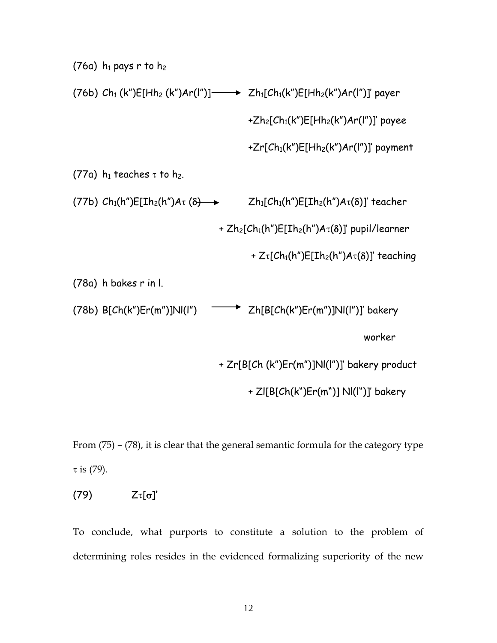(76a)  $h_1$  pays r to  $h_2$ (76b)  $Ch_1$  (k")E[Hh<sub>2</sub> (k")Ar(l")]  $\longrightarrow$   $Zh_1[Ch_1(k'')E[Hh_2(k'')Ar(l'')]$ ' payer +Zh<sub>2</sub>[Ch<sub>1</sub>(k")E[Hh<sub>2</sub>(k")Ar(l")]' payee +Zr[ $Ch_1(k'')E[Hh_2(k'')Ar(I'')]$ ' payment (77a)  $h_1$  teaches  $\tau$  to  $h_2$ . (77b)  $Ch_1(h'')E[Ih_2(h'')A\tau(\delta) \rightarrow Zh_1[Ch_1(h'')E[Ih_2(h'')A\tau(\delta)]$ ' teacher +  $Zh_2[Ch_1(h'')E[Ih_2(h'')A\tau(\delta)]'$  pupil/learner +  $Z_{\tau}$ [Ch<sub>1</sub>(h")E[Ih<sub>2</sub>(h")A $_{\tau}$ ( $\delta$ )]' teaching (78a) h bakes r in l. (78b)  $B[Ch(k'')Er(m'')JNI(l'') \longrightarrow Zh[BlCh(k'')Er(m'')JNI(l'')]$  bakery worker + Zr[B[Ch (k")Er(m")]Nl(l")]' bakery product + Zl[B[Ch(k")Er(m")] Nl(l")]' bakery

From (75) – (78), it is clear that the general semantic formula for the category type τ is (79).

# (79) Zτ[σ**]'**

To conclude, what purports to constitute a solution to the problem of determining roles resides in the evidenced formalizing superiority of the new